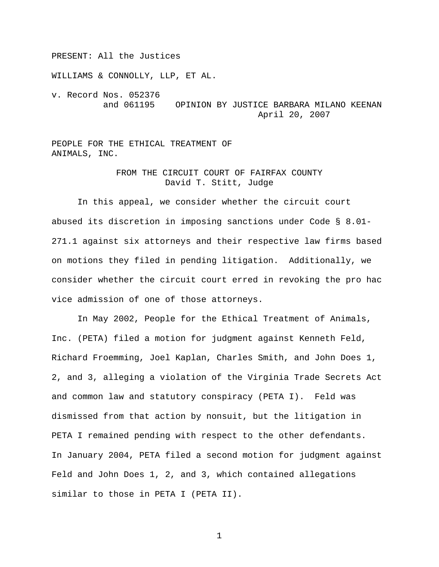PRESENT: All the Justices

WILLIAMS & CONNOLLY, LLP, ET AL.

v. Record Nos. 052376 and 061195 OPINION BY JUSTICE BARBARA MILANO KEENAN April 20, 2007

PEOPLE FOR THE ETHICAL TREATMENT OF ANIMALS, INC.

# FROM THE CIRCUIT COURT OF FAIRFAX COUNTY David T. Stitt, Judge

In this appeal, we consider whether the circuit court abused its discretion in imposing sanctions under Code § 8.01- 271.1 against six attorneys and their respective law firms based on motions they filed in pending litigation. Additionally, we consider whether the circuit court erred in revoking the pro hac vice admission of one of those attorneys.

In May 2002, People for the Ethical Treatment of Animals, Inc. (PETA) filed a motion for judgment against Kenneth Feld, Richard Froemming, Joel Kaplan, Charles Smith, and John Does 1, 2, and 3, alleging a violation of the Virginia Trade Secrets Act and common law and statutory conspiracy (PETA I). Feld was dismissed from that action by nonsuit, but the litigation in PETA I remained pending with respect to the other defendants. In January 2004, PETA filed a second motion for judgment against Feld and John Does 1, 2, and 3, which contained allegations similar to those in PETA I (PETA II).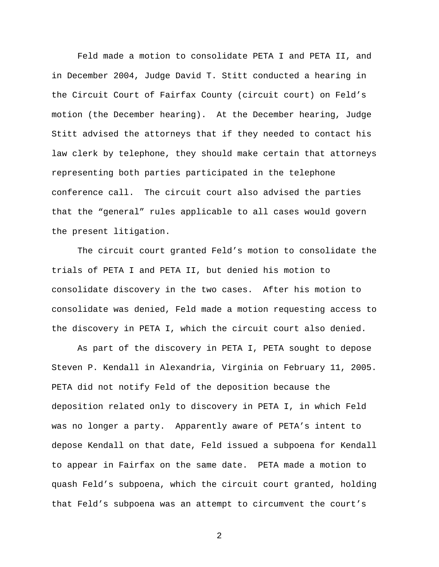Feld made a motion to consolidate PETA I and PETA II, and in December 2004, Judge David T. Stitt conducted a hearing in the Circuit Court of Fairfax County (circuit court) on Feld's motion (the December hearing). At the December hearing, Judge Stitt advised the attorneys that if they needed to contact his law clerk by telephone, they should make certain that attorneys representing both parties participated in the telephone conference call. The circuit court also advised the parties that the "general" rules applicable to all cases would govern the present litigation.

The circuit court granted Feld's motion to consolidate the trials of PETA I and PETA II, but denied his motion to consolidate discovery in the two cases. After his motion to consolidate was denied, Feld made a motion requesting access to the discovery in PETA I, which the circuit court also denied.

As part of the discovery in PETA I, PETA sought to depose Steven P. Kendall in Alexandria, Virginia on February 11, 2005. PETA did not notify Feld of the deposition because the deposition related only to discovery in PETA I, in which Feld was no longer a party. Apparently aware of PETA's intent to depose Kendall on that date, Feld issued a subpoena for Kendall to appear in Fairfax on the same date. PETA made a motion to quash Feld's subpoena, which the circuit court granted, holding that Feld's subpoena was an attempt to circumvent the court's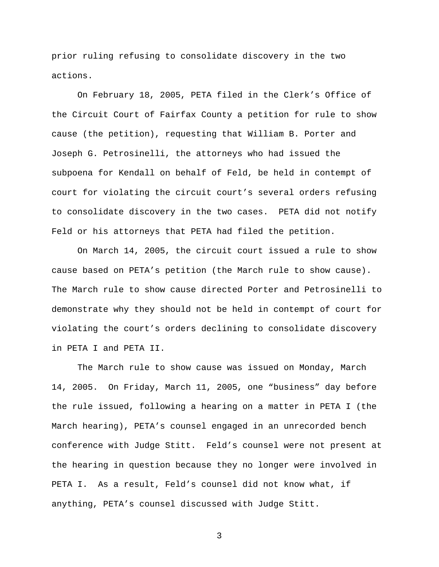prior ruling refusing to consolidate discovery in the two actions.

On February 18, 2005, PETA filed in the Clerk's Office of the Circuit Court of Fairfax County a petition for rule to show cause (the petition), requesting that William B. Porter and Joseph G. Petrosinelli, the attorneys who had issued the subpoena for Kendall on behalf of Feld, be held in contempt of court for violating the circuit court's several orders refusing to consolidate discovery in the two cases. PETA did not notify Feld or his attorneys that PETA had filed the petition.

On March 14, 2005, the circuit court issued a rule to show cause based on PETA's petition (the March rule to show cause). The March rule to show cause directed Porter and Petrosinelli to demonstrate why they should not be held in contempt of court for violating the court's orders declining to consolidate discovery in PETA I and PETA II.

The March rule to show cause was issued on Monday, March 14, 2005. On Friday, March 11, 2005, one "business" day before the rule issued, following a hearing on a matter in PETA I (the March hearing), PETA's counsel engaged in an unrecorded bench conference with Judge Stitt. Feld's counsel were not present at the hearing in question because they no longer were involved in PETA I. As a result, Feld's counsel did not know what, if anything, PETA's counsel discussed with Judge Stitt.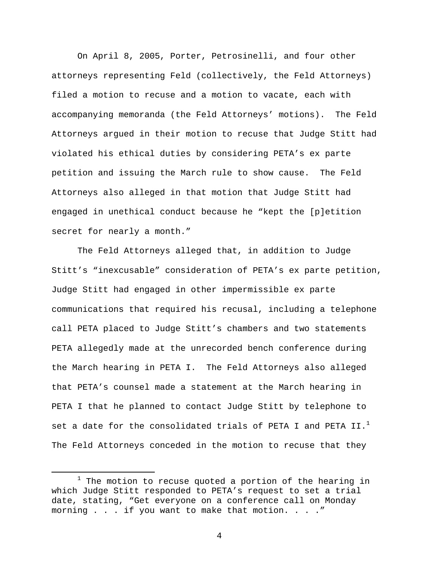On April 8, 2005, Porter, Petrosinelli, and four other attorneys representing Feld (collectively, the Feld Attorneys) filed a motion to recuse and a motion to vacate, each with accompanying memoranda (the Feld Attorneys' motions). The Feld Attorneys argued in their motion to recuse that Judge Stitt had violated his ethical duties by considering PETA's ex parte petition and issuing the March rule to show cause. The Feld Attorneys also alleged in that motion that Judge Stitt had engaged in unethical conduct because he "kept the [p]etition secret for nearly a month."

The Feld Attorneys alleged that, in addition to Judge Stitt's "inexcusable" consideration of PETA's ex parte petition, Judge Stitt had engaged in other impermissible ex parte communications that required his recusal, including a telephone call PETA placed to Judge Stitt's chambers and two statements PETA allegedly made at the unrecorded bench conference during the March hearing in PETA I. The Feld Attorneys also alleged that PETA's counsel made a statement at the March hearing in PETA I that he planned to contact Judge Stitt by telephone to set a date for the consolidated trials of PETA I and PETA II.<sup>1</sup> The Feld Attorneys conceded in the motion to recuse that they

 $\begin{array}{c}\n\hline\n\hline\n\hline\n\hline\n\hline\n\end{array}$  $1$  The motion to recuse quoted a portion of the hearing in which Judge Stitt responded to PETA's request to set a trial date, stating, "Get everyone on a conference call on Monday morning . . . if you want to make that motion. . . ."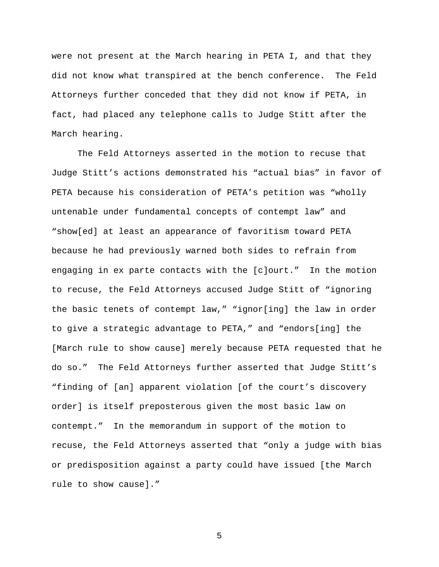were not present at the March hearing in PETA I, and that they did not know what transpired at the bench conference. The Feld Attorneys further conceded that they did not know if PETA, in fact, had placed any telephone calls to Judge Stitt after the March hearing.

The Feld Attorneys asserted in the motion to recuse that Judge Stitt's actions demonstrated his "actual bias" in favor of PETA because his consideration of PETA's petition was "wholly untenable under fundamental concepts of contempt law" and "show[ed] at least an appearance of favoritism toward PETA because he had previously warned both sides to refrain from engaging in ex parte contacts with the [c]ourt." In the motion to recuse, the Feld Attorneys accused Judge Stitt of "ignoring the basic tenets of contempt law," "ignor[ing] the law in order to give a strategic advantage to PETA," and "endors[ing] the [March rule to show cause] merely because PETA requested that he do so." The Feld Attorneys further asserted that Judge Stitt's "finding of [an] apparent violation [of the court's discovery order] is itself preposterous given the most basic law on contempt." In the memorandum in support of the motion to recuse, the Feld Attorneys asserted that "only a judge with bias or predisposition against a party could have issued [the March rule to show cause]."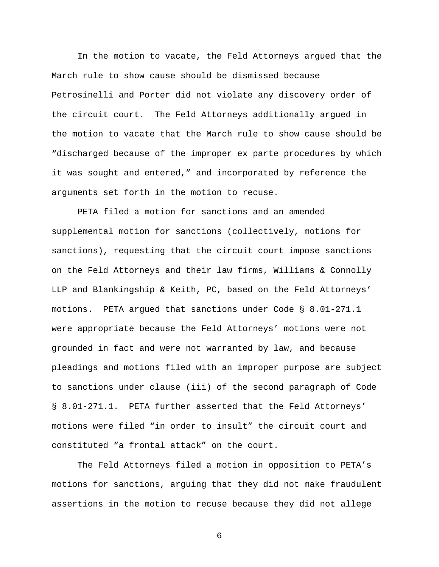In the motion to vacate, the Feld Attorneys argued that the March rule to show cause should be dismissed because Petrosinelli and Porter did not violate any discovery order of the circuit court. The Feld Attorneys additionally argued in the motion to vacate that the March rule to show cause should be "discharged because of the improper ex parte procedures by which it was sought and entered," and incorporated by reference the arguments set forth in the motion to recuse.

PETA filed a motion for sanctions and an amended supplemental motion for sanctions (collectively, motions for sanctions), requesting that the circuit court impose sanctions on the Feld Attorneys and their law firms, Williams & Connolly LLP and Blankingship & Keith, PC, based on the Feld Attorneys' motions. PETA argued that sanctions under Code § 8.01-271.1 were appropriate because the Feld Attorneys' motions were not grounded in fact and were not warranted by law, and because pleadings and motions filed with an improper purpose are subject to sanctions under clause (iii) of the second paragraph of Code § 8.01-271.1. PETA further asserted that the Feld Attorneys' motions were filed "in order to insult" the circuit court and constituted "a frontal attack" on the court.

The Feld Attorneys filed a motion in opposition to PETA's motions for sanctions, arguing that they did not make fraudulent assertions in the motion to recuse because they did not allege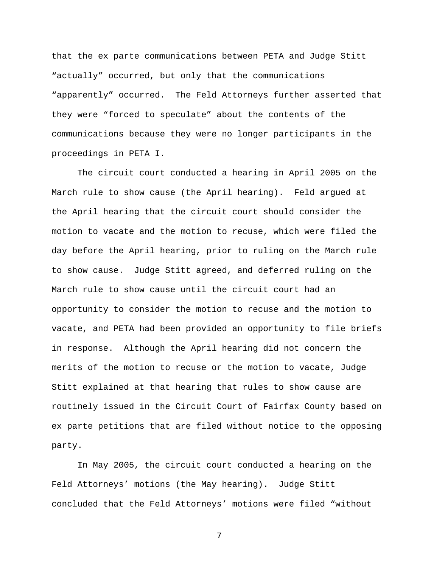that the ex parte communications between PETA and Judge Stitt "actually" occurred, but only that the communications "apparently" occurred. The Feld Attorneys further asserted that they were "forced to speculate" about the contents of the communications because they were no longer participants in the proceedings in PETA I.

The circuit court conducted a hearing in April 2005 on the March rule to show cause (the April hearing). Feld argued at the April hearing that the circuit court should consider the motion to vacate and the motion to recuse, which were filed the day before the April hearing, prior to ruling on the March rule to show cause. Judge Stitt agreed, and deferred ruling on the March rule to show cause until the circuit court had an opportunity to consider the motion to recuse and the motion to vacate, and PETA had been provided an opportunity to file briefs in response. Although the April hearing did not concern the merits of the motion to recuse or the motion to vacate, Judge Stitt explained at that hearing that rules to show cause are routinely issued in the Circuit Court of Fairfax County based on ex parte petitions that are filed without notice to the opposing party.

In May 2005, the circuit court conducted a hearing on the Feld Attorneys' motions (the May hearing). Judge Stitt concluded that the Feld Attorneys' motions were filed "without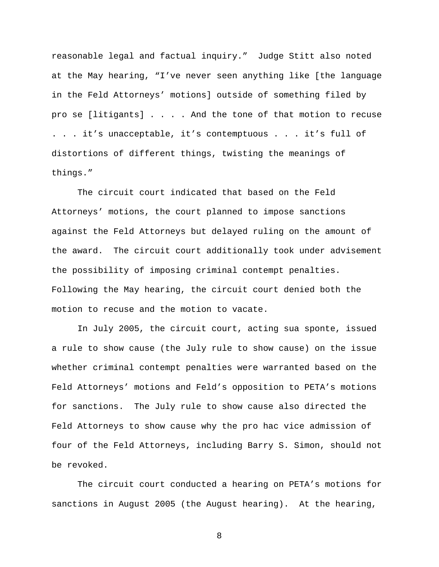reasonable legal and factual inquiry." Judge Stitt also noted at the May hearing, "I've never seen anything like [the language in the Feld Attorneys' motions] outside of something filed by pro se [litigants] . . . . And the tone of that motion to recuse . . . it's unacceptable, it's contemptuous . . . it's full of distortions of different things, twisting the meanings of things."

The circuit court indicated that based on the Feld Attorneys' motions, the court planned to impose sanctions against the Feld Attorneys but delayed ruling on the amount of the award. The circuit court additionally took under advisement the possibility of imposing criminal contempt penalties. Following the May hearing, the circuit court denied both the motion to recuse and the motion to vacate.

In July 2005, the circuit court, acting sua sponte, issued a rule to show cause (the July rule to show cause) on the issue whether criminal contempt penalties were warranted based on the Feld Attorneys' motions and Feld's opposition to PETA's motions for sanctions. The July rule to show cause also directed the Feld Attorneys to show cause why the pro hac vice admission of four of the Feld Attorneys, including Barry S. Simon, should not be revoked.

The circuit court conducted a hearing on PETA's motions for sanctions in August 2005 (the August hearing). At the hearing,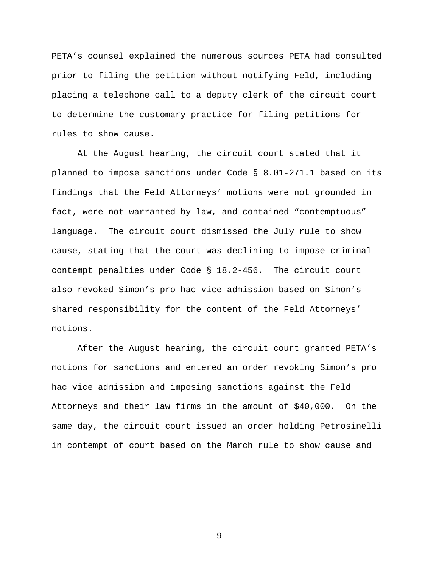PETA's counsel explained the numerous sources PETA had consulted prior to filing the petition without notifying Feld, including placing a telephone call to a deputy clerk of the circuit court to determine the customary practice for filing petitions for rules to show cause.

At the August hearing, the circuit court stated that it planned to impose sanctions under Code § 8.01-271.1 based on its findings that the Feld Attorneys' motions were not grounded in fact, were not warranted by law, and contained "contemptuous" language. The circuit court dismissed the July rule to show cause, stating that the court was declining to impose criminal contempt penalties under Code § 18.2-456. The circuit court also revoked Simon's pro hac vice admission based on Simon's shared responsibility for the content of the Feld Attorneys' motions.

After the August hearing, the circuit court granted PETA's motions for sanctions and entered an order revoking Simon's pro hac vice admission and imposing sanctions against the Feld Attorneys and their law firms in the amount of \$40,000. On the same day, the circuit court issued an order holding Petrosinelli in contempt of court based on the March rule to show cause and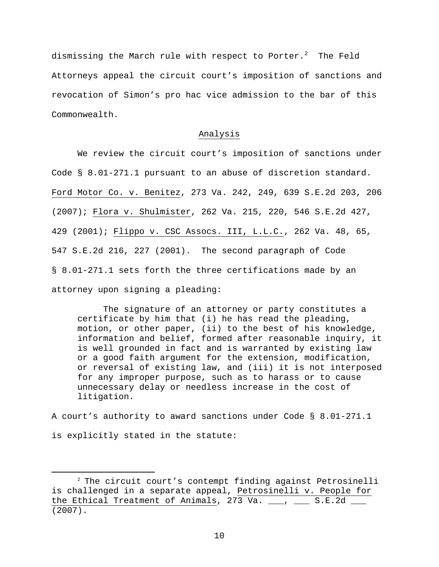dismissing the March rule with respect to Porter. $^2$  The Feld Attorneys appeal the circuit court's imposition of sanctions and revocation of Simon's pro hac vice admission to the bar of this Commonwealth.

## Analysis

 We review the circuit court's imposition of sanctions under Code § 8.01-271.1 pursuant to an abuse of discretion standard. Ford Motor Co. v. Benitez, 273 Va. 242, 249, 639 S.E.2d 203, 206 (2007); Flora v. Shulmister, 262 Va. 215, 220, 546 S.E.2d 427, 429 (2001); Flippo v. CSC Assocs. III, L.L.C., 262 Va. 48, 65, 547 S.E.2d 216, 227 (2001). The second paragraph of Code § 8.01-271.1 sets forth the three certifications made by an attorney upon signing a pleading:

The signature of an attorney or party constitutes a certificate by him that (i) he has read the pleading, motion, or other paper, (ii) to the best of his knowledge, information and belief, formed after reasonable inquiry, it is well grounded in fact and is warranted by existing law or a good faith argument for the extension, modification, or reversal of existing law, and (iii) it is not interposed for any improper purpose, such as to harass or to cause unnecessary delay or needless increase in the cost of litigation.

A court's authority to award sanctions under Code § 8.01-271.1 is explicitly stated in the statute:

 <sup>2</sup> The circuit court's contempt finding against Petrosinelli is challenged in a separate appeal, Petrosinelli v. People for the Ethical Treatment of Animals, 273 Va.  $\frac{1}{2}$ ,  $\frac{1}{2}$  S.E.2d  $\frac{1}{2}$ (2007).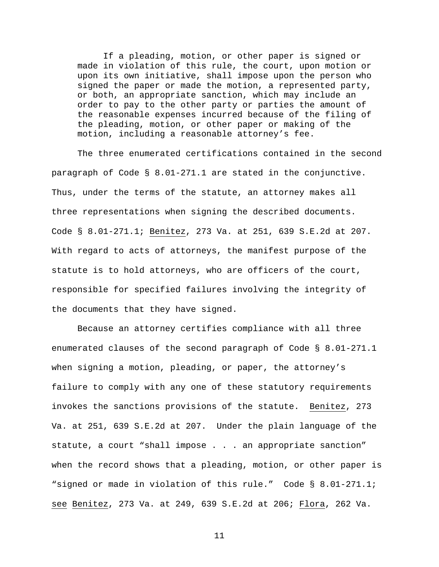If a pleading, motion, or other paper is signed or made in violation of this rule, the court, upon motion or upon its own initiative, shall impose upon the person who signed the paper or made the motion, a represented party, or both, an appropriate sanction, which may include an order to pay to the other party or parties the amount of the reasonable expenses incurred because of the filing of the pleading, motion, or other paper or making of the motion, including a reasonable attorney's fee.

The three enumerated certifications contained in the second paragraph of Code § 8.01-271.1 are stated in the conjunctive. Thus, under the terms of the statute, an attorney makes all three representations when signing the described documents. Code § 8.01-271.1; Benitez, 273 Va. at 251, 639 S.E.2d at 207. With regard to acts of attorneys, the manifest purpose of the statute is to hold attorneys, who are officers of the court, responsible for specified failures involving the integrity of the documents that they have signed.

Because an attorney certifies compliance with all three enumerated clauses of the second paragraph of Code § 8.01-271.1 when signing a motion, pleading, or paper, the attorney's failure to comply with any one of these statutory requirements invokes the sanctions provisions of the statute. Benitez, 273 Va. at 251, 639 S.E.2d at 207. Under the plain language of the statute, a court "shall impose . . . an appropriate sanction" when the record shows that a pleading, motion, or other paper is "signed or made in violation of this rule." Code § 8.01-271.1; see Benitez, 273 Va. at 249, 639 S.E.2d at 206; Flora, 262 Va.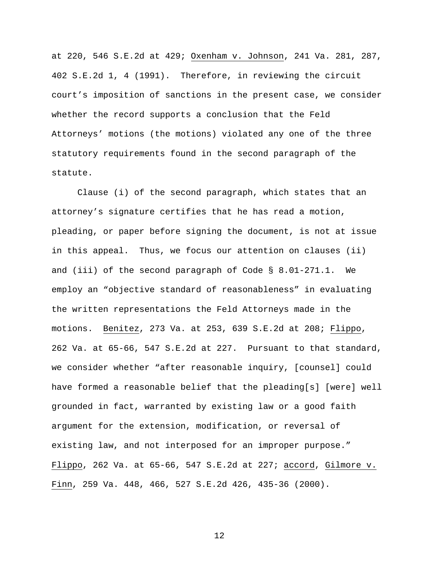at 220, 546 S.E.2d at 429; Oxenham v. Johnson, 241 Va. 281, 287, 402 S.E.2d 1, 4 (1991). Therefore, in reviewing the circuit court's imposition of sanctions in the present case, we consider whether the record supports a conclusion that the Feld Attorneys' motions (the motions) violated any one of the three statutory requirements found in the second paragraph of the statute.

Clause (i) of the second paragraph, which states that an attorney's signature certifies that he has read a motion, pleading, or paper before signing the document, is not at issue in this appeal. Thus, we focus our attention on clauses (ii) and (iii) of the second paragraph of Code § 8.01-271.1. We employ an "objective standard of reasonableness" in evaluating the written representations the Feld Attorneys made in the motions. Benitez, 273 Va. at 253, 639 S.E.2d at 208; Flippo, 262 Va. at 65-66, 547 S.E.2d at 227. Pursuant to that standard, we consider whether "after reasonable inquiry, [counsel] could have formed a reasonable belief that the pleading[s] [were] well grounded in fact, warranted by existing law or a good faith argument for the extension, modification, or reversal of existing law, and not interposed for an improper purpose." Flippo, 262 Va. at 65-66, 547 S.E.2d at 227; accord, Gilmore v. Finn, 259 Va. 448, 466, 527 S.E.2d 426, 435-36 (2000).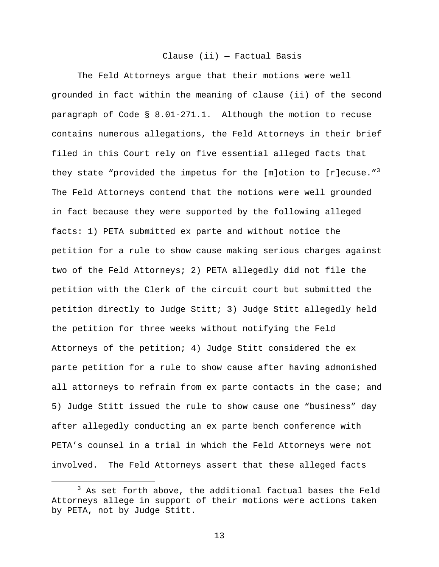#### Clause (ii) — Factual Basis

The Feld Attorneys argue that their motions were well grounded in fact within the meaning of clause (ii) of the second paragraph of Code § 8.01-271.1. Although the motion to recuse contains numerous allegations, the Feld Attorneys in their brief filed in this Court rely on five essential alleged facts that they state "provided the impetus for the [m]otion to [r]ecuse." $3$ The Feld Attorneys contend that the motions were well grounded in fact because they were supported by the following alleged facts: 1) PETA submitted ex parte and without notice the petition for a rule to show cause making serious charges against two of the Feld Attorneys; 2) PETA allegedly did not file the petition with the Clerk of the circuit court but submitted the petition directly to Judge Stitt; 3) Judge Stitt allegedly held the petition for three weeks without notifying the Feld Attorneys of the petition; 4) Judge Stitt considered the ex parte petition for a rule to show cause after having admonished all attorneys to refrain from ex parte contacts in the case; and 5) Judge Stitt issued the rule to show cause one "business" day after allegedly conducting an ex parte bench conference with PETA's counsel in a trial in which the Feld Attorneys were not involved. The Feld Attorneys assert that these alleged facts

 $\overline{\phantom{a}}$  3  $3$  As set forth above, the additional factual bases the Feld Attorneys allege in support of their motions were actions taken by PETA, not by Judge Stitt.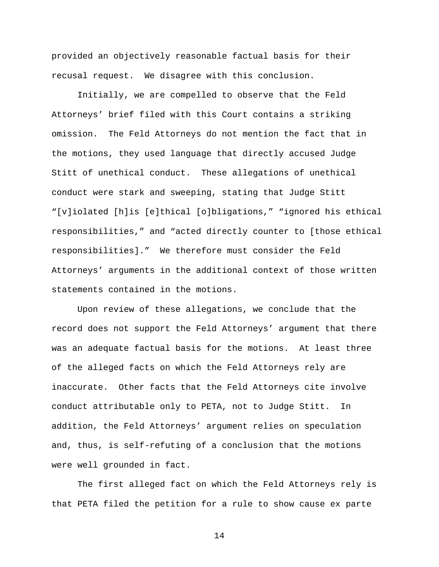provided an objectively reasonable factual basis for their recusal request. We disagree with this conclusion.

Initially, we are compelled to observe that the Feld Attorneys' brief filed with this Court contains a striking omission. The Feld Attorneys do not mention the fact that in the motions, they used language that directly accused Judge Stitt of unethical conduct. These allegations of unethical conduct were stark and sweeping, stating that Judge Stitt "[v]iolated [h]is [e]thical [o]bligations," "ignored his ethical responsibilities," and "acted directly counter to [those ethical responsibilities]." We therefore must consider the Feld Attorneys' arguments in the additional context of those written statements contained in the motions.

Upon review of these allegations, we conclude that the record does not support the Feld Attorneys' argument that there was an adequate factual basis for the motions. At least three of the alleged facts on which the Feld Attorneys rely are inaccurate. Other facts that the Feld Attorneys cite involve conduct attributable only to PETA, not to Judge Stitt. In addition, the Feld Attorneys' argument relies on speculation and, thus, is self-refuting of a conclusion that the motions were well grounded in fact.

The first alleged fact on which the Feld Attorneys rely is that PETA filed the petition for a rule to show cause ex parte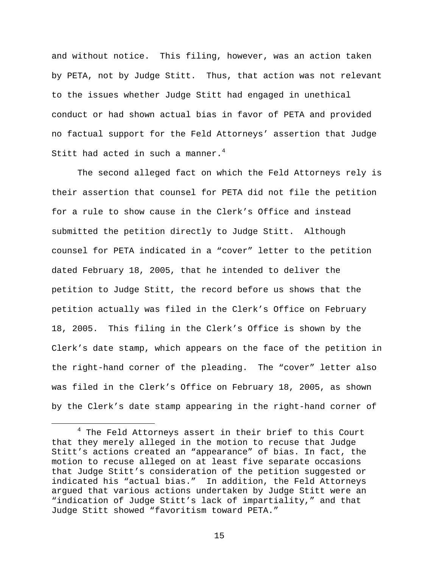and without notice. This filing, however, was an action taken by PETA, not by Judge Stitt. Thus, that action was not relevant to the issues whether Judge Stitt had engaged in unethical conduct or had shown actual bias in favor of PETA and provided no factual support for the Feld Attorneys' assertion that Judge Stitt had acted in such a manner.<sup>4</sup>

The second alleged fact on which the Feld Attorneys rely is their assertion that counsel for PETA did not file the petition for a rule to show cause in the Clerk's Office and instead submitted the petition directly to Judge Stitt. Although counsel for PETA indicated in a "cover" letter to the petition dated February 18, 2005, that he intended to deliver the petition to Judge Stitt, the record before us shows that the petition actually was filed in the Clerk's Office on February 18, 2005. This filing in the Clerk's Office is shown by the Clerk's date stamp, which appears on the face of the petition in the right-hand corner of the pleading. The "cover" letter also was filed in the Clerk's Office on February 18, 2005, as shown by the Clerk's date stamp appearing in the right-hand corner of

 $\overline{\phantom{a}}$ <sup>4</sup> The Feld Attorneys assert in their brief to this Court that they merely alleged in the motion to recuse that Judge Stitt's actions created an "appearance" of bias. In fact, the motion to recuse alleged on at least five separate occasions that Judge Stitt's consideration of the petition suggested or indicated his "actual bias." In addition, the Feld Attorneys argued that various actions undertaken by Judge Stitt were an "indication of Judge Stitt's lack of impartiality," and that Judge Stitt showed "favoritism toward PETA."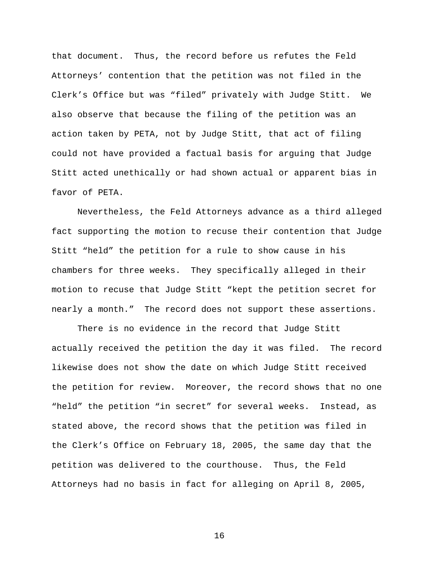that document. Thus, the record before us refutes the Feld Attorneys' contention that the petition was not filed in the Clerk's Office but was "filed" privately with Judge Stitt. We also observe that because the filing of the petition was an action taken by PETA, not by Judge Stitt, that act of filing could not have provided a factual basis for arguing that Judge Stitt acted unethically or had shown actual or apparent bias in favor of PETA.

Nevertheless, the Feld Attorneys advance as a third alleged fact supporting the motion to recuse their contention that Judge Stitt "held" the petition for a rule to show cause in his chambers for three weeks. They specifically alleged in their motion to recuse that Judge Stitt "kept the petition secret for nearly a month." The record does not support these assertions.

There is no evidence in the record that Judge Stitt actually received the petition the day it was filed. The record likewise does not show the date on which Judge Stitt received the petition for review. Moreover, the record shows that no one "held" the petition "in secret" for several weeks. Instead, as stated above, the record shows that the petition was filed in the Clerk's Office on February 18, 2005, the same day that the petition was delivered to the courthouse. Thus, the Feld Attorneys had no basis in fact for alleging on April 8, 2005,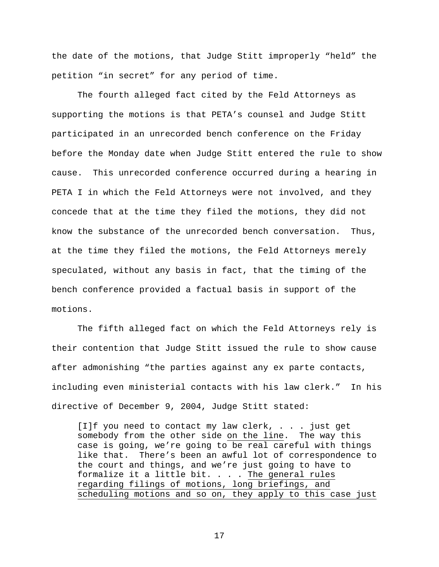the date of the motions, that Judge Stitt improperly "held" the petition "in secret" for any period of time.

 The fourth alleged fact cited by the Feld Attorneys as supporting the motions is that PETA's counsel and Judge Stitt participated in an unrecorded bench conference on the Friday before the Monday date when Judge Stitt entered the rule to show cause. This unrecorded conference occurred during a hearing in PETA I in which the Feld Attorneys were not involved, and they concede that at the time they filed the motions, they did not know the substance of the unrecorded bench conversation. Thus, at the time they filed the motions, the Feld Attorneys merely speculated, without any basis in fact, that the timing of the bench conference provided a factual basis in support of the motions.

 The fifth alleged fact on which the Feld Attorneys rely is their contention that Judge Stitt issued the rule to show cause after admonishing "the parties against any ex parte contacts, including even ministerial contacts with his law clerk." In his directive of December 9, 2004, Judge Stitt stated:

[I]f you need to contact my law clerk, . . . just get somebody from the other side on the line. The way this case is going, we're going to be real careful with things like that. There's been an awful lot of correspondence to the court and things, and we're just going to have to formalize it a little bit.  $\ldots$  . The general rules regarding filings of motions, long briefings, and scheduling motions and so on, they apply to this case just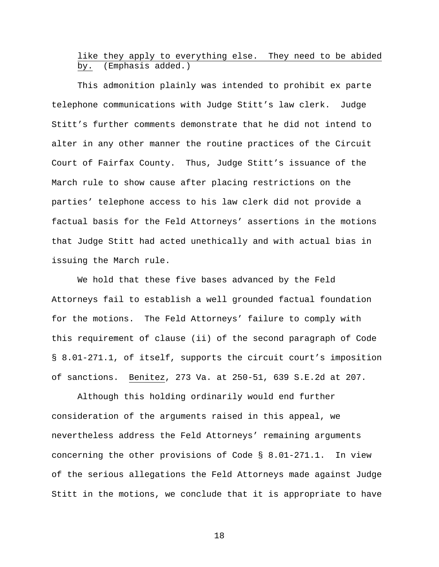# like they apply to everything else. They need to be abided by. (Emphasis added.)

This admonition plainly was intended to prohibit ex parte telephone communications with Judge Stitt's law clerk. Judge Stitt's further comments demonstrate that he did not intend to alter in any other manner the routine practices of the Circuit Court of Fairfax County. Thus, Judge Stitt's issuance of the March rule to show cause after placing restrictions on the parties' telephone access to his law clerk did not provide a factual basis for the Feld Attorneys' assertions in the motions that Judge Stitt had acted unethically and with actual bias in issuing the March rule.

We hold that these five bases advanced by the Feld Attorneys fail to establish a well grounded factual foundation for the motions. The Feld Attorneys' failure to comply with this requirement of clause (ii) of the second paragraph of Code § 8.01-271.1, of itself, supports the circuit court's imposition of sanctions. Benitez, 273 Va. at 250-51, 639 S.E.2d at 207.

Although this holding ordinarily would end further consideration of the arguments raised in this appeal, we nevertheless address the Feld Attorneys' remaining arguments concerning the other provisions of Code § 8.01-271.1. In view of the serious allegations the Feld Attorneys made against Judge Stitt in the motions, we conclude that it is appropriate to have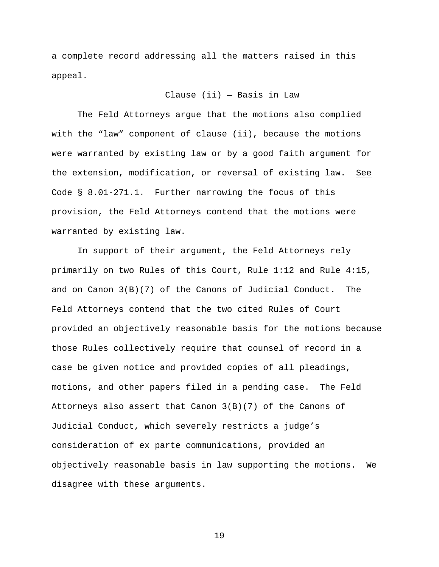a complete record addressing all the matters raised in this appeal.

## Clause (ii) — Basis in Law

The Feld Attorneys argue that the motions also complied with the "law" component of clause (ii), because the motions were warranted by existing law or by a good faith argument for the extension, modification, or reversal of existing law. See Code § 8.01-271.1. Further narrowing the focus of this provision, the Feld Attorneys contend that the motions were warranted by existing law.

In support of their argument, the Feld Attorneys rely primarily on two Rules of this Court, Rule 1:12 and Rule 4:15, and on Canon 3(B)(7) of the Canons of Judicial Conduct. The Feld Attorneys contend that the two cited Rules of Court provided an objectively reasonable basis for the motions because those Rules collectively require that counsel of record in a case be given notice and provided copies of all pleadings, motions, and other papers filed in a pending case. The Feld Attorneys also assert that Canon 3(B)(7) of the Canons of Judicial Conduct, which severely restricts a judge's consideration of ex parte communications, provided an objectively reasonable basis in law supporting the motions. We disagree with these arguments.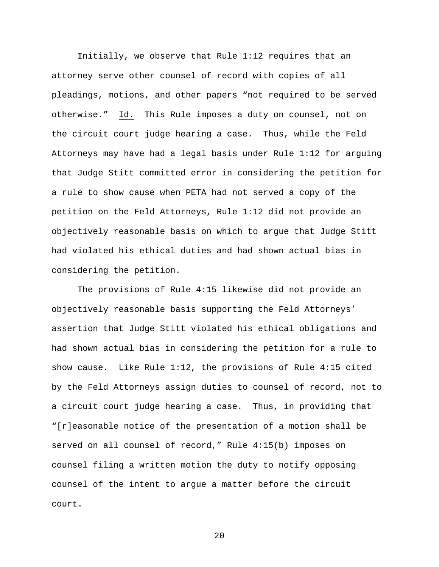Initially, we observe that Rule 1:12 requires that an attorney serve other counsel of record with copies of all pleadings, motions, and other papers "not required to be served otherwise." Id. This Rule imposes a duty on counsel, not on the circuit court judge hearing a case. Thus, while the Feld Attorneys may have had a legal basis under Rule 1:12 for arguing that Judge Stitt committed error in considering the petition for a rule to show cause when PETA had not served a copy of the petition on the Feld Attorneys, Rule 1:12 did not provide an objectively reasonable basis on which to argue that Judge Stitt had violated his ethical duties and had shown actual bias in considering the petition.

 The provisions of Rule 4:15 likewise did not provide an objectively reasonable basis supporting the Feld Attorneys' assertion that Judge Stitt violated his ethical obligations and had shown actual bias in considering the petition for a rule to show cause. Like Rule 1:12, the provisions of Rule 4:15 cited by the Feld Attorneys assign duties to counsel of record, not to a circuit court judge hearing a case. Thus, in providing that "[r]easonable notice of the presentation of a motion shall be served on all counsel of record," Rule 4:15(b) imposes on counsel filing a written motion the duty to notify opposing counsel of the intent to argue a matter before the circuit court.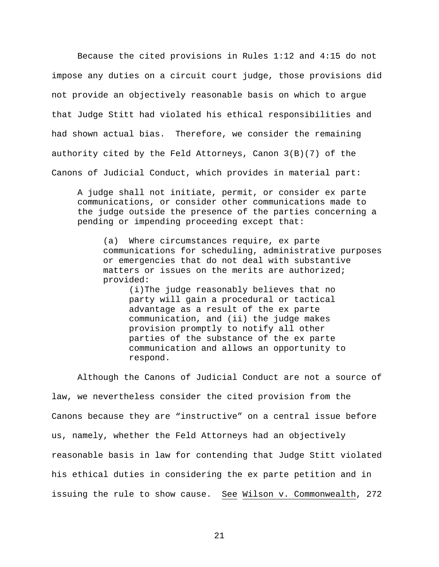Because the cited provisions in Rules 1:12 and 4:15 do not impose any duties on a circuit court judge, those provisions did not provide an objectively reasonable basis on which to argue that Judge Stitt had violated his ethical responsibilities and had shown actual bias. Therefore, we consider the remaining authority cited by the Feld Attorneys, Canon 3(B)(7) of the Canons of Judicial Conduct, which provides in material part:

 A judge shall not initiate, permit, or consider ex parte communications, or consider other communications made to the judge outside the presence of the parties concerning a pending or impending proceeding except that:

(a) Where circumstances require, ex parte communications for scheduling, administrative purposes or emergencies that do not deal with substantive matters or issues on the merits are authorized; provided:

(i)The judge reasonably believes that no party will gain a procedural or tactical advantage as a result of the ex parte communication, and (ii) the judge makes provision promptly to notify all other parties of the substance of the ex parte communication and allows an opportunity to respond.

Although the Canons of Judicial Conduct are not a source of law, we nevertheless consider the cited provision from the Canons because they are "instructive" on a central issue before us, namely, whether the Feld Attorneys had an objectively reasonable basis in law for contending that Judge Stitt violated his ethical duties in considering the ex parte petition and in issuing the rule to show cause. See Wilson v. Commonwealth, 272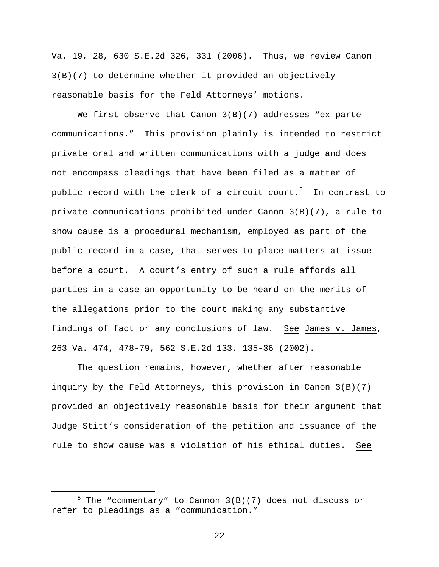Va. 19, 28, 630 S.E.2d 326, 331 (2006). Thus, we review Canon 3(B)(7) to determine whether it provided an objectively reasonable basis for the Feld Attorneys' motions.

We first observe that Canon  $3(B)(7)$  addresses "ex parte communications." This provision plainly is intended to restrict private oral and written communications with a judge and does not encompass pleadings that have been filed as a matter of public record with the clerk of a circuit court.<sup>5</sup> In contrast to private communications prohibited under Canon 3(B)(7), a rule to show cause is a procedural mechanism, employed as part of the public record in a case, that serves to place matters at issue before a court. A court's entry of such a rule affords all parties in a case an opportunity to be heard on the merits of the allegations prior to the court making any substantive findings of fact or any conclusions of law. See James v. James, 263 Va. 474, 478-79, 562 S.E.2d 133, 135-36 (2002).

The question remains, however, whether after reasonable inquiry by the Feld Attorneys, this provision in Canon  $3(B)(7)$ provided an objectively reasonable basis for their argument that Judge Stitt's consideration of the petition and issuance of the rule to show cause was a violation of his ethical duties. See

 $\frac{1}{5}$  $5$  The "commentary" to Cannon 3(B)(7) does not discuss or refer to pleadings as a "communication."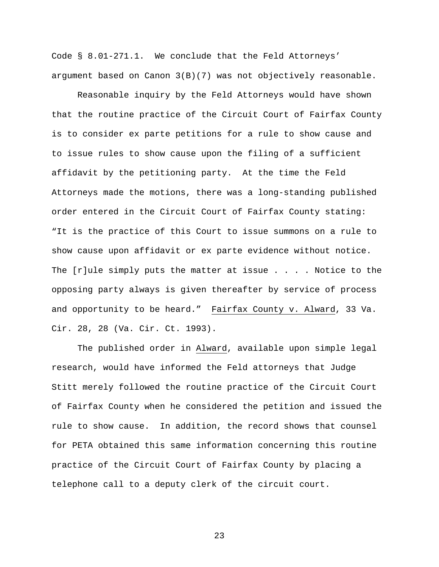Code § 8.01-271.1. We conclude that the Feld Attorneys' argument based on Canon 3(B)(7) was not objectively reasonable.

Reasonable inquiry by the Feld Attorneys would have shown that the routine practice of the Circuit Court of Fairfax County is to consider ex parte petitions for a rule to show cause and to issue rules to show cause upon the filing of a sufficient affidavit by the petitioning party. At the time the Feld Attorneys made the motions, there was a long-standing published order entered in the Circuit Court of Fairfax County stating: "It is the practice of this Court to issue summons on a rule to show cause upon affidavit or ex parte evidence without notice. The  $[r]$ ule simply puts the matter at issue . . . . Notice to the opposing party always is given thereafter by service of process and opportunity to be heard." Fairfax County v. Alward, 33 Va. Cir. 28, 28 (Va. Cir. Ct. 1993).

The published order in Alward, available upon simple legal research, would have informed the Feld attorneys that Judge Stitt merely followed the routine practice of the Circuit Court of Fairfax County when he considered the petition and issued the rule to show cause. In addition, the record shows that counsel for PETA obtained this same information concerning this routine practice of the Circuit Court of Fairfax County by placing a telephone call to a deputy clerk of the circuit court.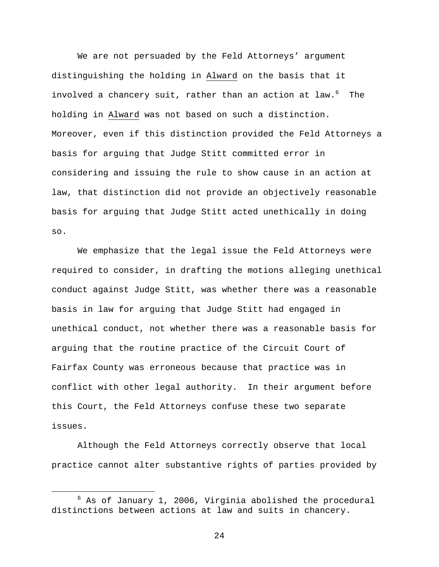We are not persuaded by the Feld Attorneys' argument distinguishing the holding in Alward on the basis that it involved a chancery suit, rather than an action at law.<sup>6</sup> The holding in Alward was not based on such a distinction. Moreover, even if this distinction provided the Feld Attorneys a basis for arguing that Judge Stitt committed error in considering and issuing the rule to show cause in an action at law, that distinction did not provide an objectively reasonable basis for arguing that Judge Stitt acted unethically in doing so.

We emphasize that the legal issue the Feld Attorneys were required to consider, in drafting the motions alleging unethical conduct against Judge Stitt, was whether there was a reasonable basis in law for arguing that Judge Stitt had engaged in unethical conduct, not whether there was a reasonable basis for arguing that the routine practice of the Circuit Court of Fairfax County was erroneous because that practice was in conflict with other legal authority. In their argument before this Court, the Feld Attorneys confuse these two separate issues.

Although the Feld Attorneys correctly observe that local practice cannot alter substantive rights of parties provided by

 $\overline{\phantom{0}}$  $6$  As of January 1, 2006, Virginia abolished the procedural distinctions between actions at law and suits in chancery.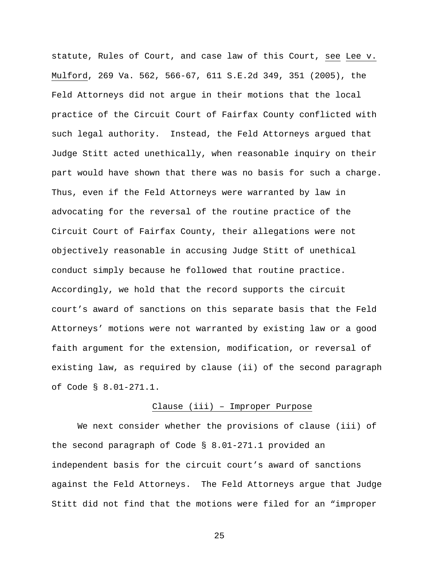statute, Rules of Court, and case law of this Court, see Lee v. Mulford, 269 Va. 562, 566-67, 611 S.E.2d 349, 351 (2005), the Feld Attorneys did not argue in their motions that the local practice of the Circuit Court of Fairfax County conflicted with such legal authority. Instead, the Feld Attorneys argued that Judge Stitt acted unethically, when reasonable inquiry on their part would have shown that there was no basis for such a charge. Thus, even if the Feld Attorneys were warranted by law in advocating for the reversal of the routine practice of the Circuit Court of Fairfax County, their allegations were not objectively reasonable in accusing Judge Stitt of unethical conduct simply because he followed that routine practice. Accordingly, we hold that the record supports the circuit court's award of sanctions on this separate basis that the Feld Attorneys' motions were not warranted by existing law or a good faith argument for the extension, modification, or reversal of existing law, as required by clause (ii) of the second paragraph of Code § 8.01-271.1.

#### Clause (iii) – Improper Purpose

We next consider whether the provisions of clause (iii) of the second paragraph of Code § 8.01-271.1 provided an independent basis for the circuit court's award of sanctions against the Feld Attorneys. The Feld Attorneys argue that Judge Stitt did not find that the motions were filed for an "improper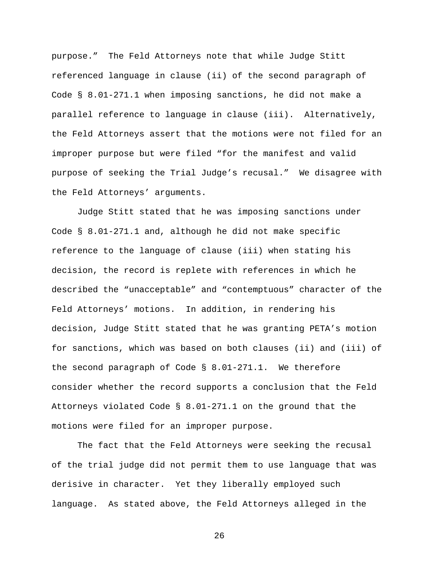purpose." The Feld Attorneys note that while Judge Stitt referenced language in clause (ii) of the second paragraph of Code § 8.01-271.1 when imposing sanctions, he did not make a parallel reference to language in clause (iii). Alternatively, the Feld Attorneys assert that the motions were not filed for an improper purpose but were filed "for the manifest and valid purpose of seeking the Trial Judge's recusal." We disagree with the Feld Attorneys' arguments.

Judge Stitt stated that he was imposing sanctions under Code § 8.01-271.1 and, although he did not make specific reference to the language of clause (iii) when stating his decision, the record is replete with references in which he described the "unacceptable" and "contemptuous" character of the Feld Attorneys' motions. In addition, in rendering his decision, Judge Stitt stated that he was granting PETA's motion for sanctions, which was based on both clauses (ii) and (iii) of the second paragraph of Code § 8.01-271.1. We therefore consider whether the record supports a conclusion that the Feld Attorneys violated Code § 8.01-271.1 on the ground that the motions were filed for an improper purpose.

The fact that the Feld Attorneys were seeking the recusal of the trial judge did not permit them to use language that was derisive in character. Yet they liberally employed such language. As stated above, the Feld Attorneys alleged in the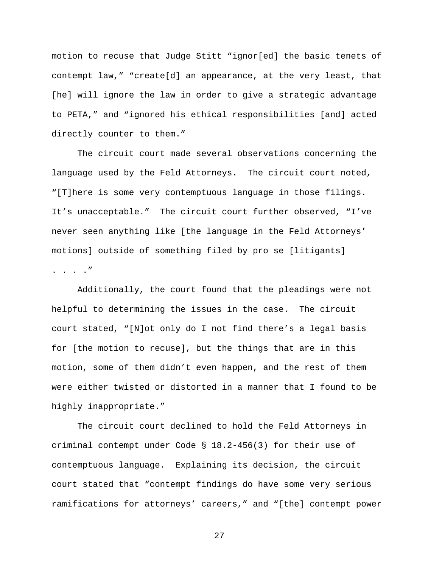motion to recuse that Judge Stitt "ignor[ed] the basic tenets of contempt law," "create[d] an appearance, at the very least, that [he] will ignore the law in order to give a strategic advantage to PETA," and "ignored his ethical responsibilities [and] acted directly counter to them."

The circuit court made several observations concerning the language used by the Feld Attorneys. The circuit court noted, "[T]here is some very contemptuous language in those filings. It's unacceptable." The circuit court further observed, "I've never seen anything like [the language in the Feld Attorneys' motions] outside of something filed by pro se [litigants] . . . ."

Additionally, the court found that the pleadings were not helpful to determining the issues in the case. The circuit court stated, "[N]ot only do I not find there's a legal basis for [the motion to recuse], but the things that are in this motion, some of them didn't even happen, and the rest of them were either twisted or distorted in a manner that I found to be highly inappropriate."

The circuit court declined to hold the Feld Attorneys in criminal contempt under Code § 18.2-456(3) for their use of contemptuous language. Explaining its decision, the circuit court stated that "contempt findings do have some very serious ramifications for attorneys' careers," and "[the] contempt power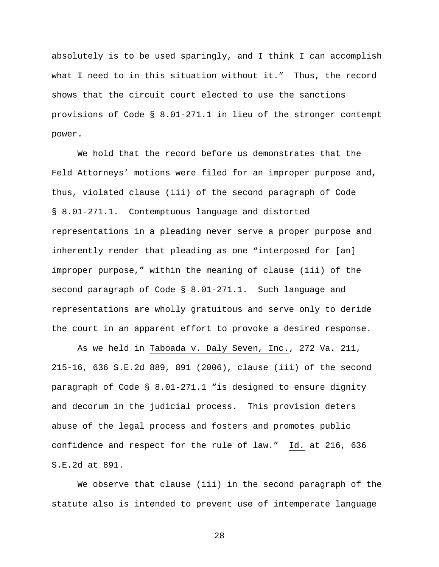absolutely is to be used sparingly, and I think I can accomplish what I need to in this situation without it." Thus, the record shows that the circuit court elected to use the sanctions provisions of Code § 8.01-271.1 in lieu of the stronger contempt power.

We hold that the record before us demonstrates that the Feld Attorneys' motions were filed for an improper purpose and, thus, violated clause (iii) of the second paragraph of Code § 8.01-271.1. Contemptuous language and distorted representations in a pleading never serve a proper purpose and inherently render that pleading as one "interposed for [an] improper purpose," within the meaning of clause (iii) of the second paragraph of Code § 8.01-271.1. Such language and representations are wholly gratuitous and serve only to deride the court in an apparent effort to provoke a desired response.

As we held in Taboada v. Daly Seven, Inc., 272 Va. 211, 215-16, 636 S.E.2d 889, 891 (2006), clause (iii) of the second paragraph of Code § 8.01-271.1 "is designed to ensure dignity and decorum in the judicial process. This provision deters abuse of the legal process and fosters and promotes public confidence and respect for the rule of law." Id. at 216, 636 S.E.2d at 891.

We observe that clause (iii) in the second paragraph of the statute also is intended to prevent use of intemperate language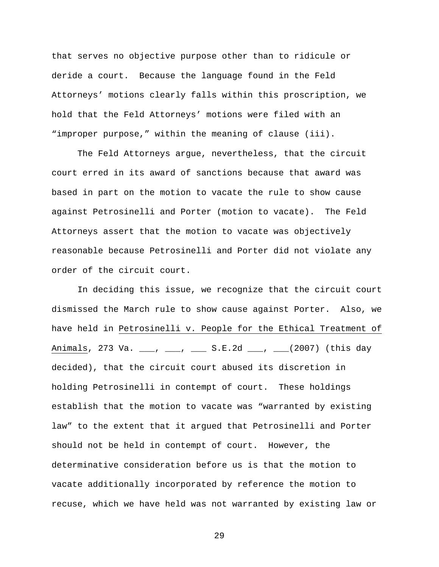that serves no objective purpose other than to ridicule or deride a court. Because the language found in the Feld Attorneys' motions clearly falls within this proscription, we hold that the Feld Attorneys' motions were filed with an "improper purpose," within the meaning of clause (iii).

The Feld Attorneys argue, nevertheless, that the circuit court erred in its award of sanctions because that award was based in part on the motion to vacate the rule to show cause against Petrosinelli and Porter (motion to vacate). The Feld Attorneys assert that the motion to vacate was objectively reasonable because Petrosinelli and Porter did not violate any order of the circuit court.

In deciding this issue, we recognize that the circuit court dismissed the March rule to show cause against Porter. Also, we have held in Petrosinelli v. People for the Ethical Treatment of Animals, 273 Va. \_\_\_, \_\_\_, \_\_\_ S.E.2d \_\_\_, \_\_\_(2007) (this day decided), that the circuit court abused its discretion in holding Petrosinelli in contempt of court. These holdings establish that the motion to vacate was "warranted by existing law" to the extent that it argued that Petrosinelli and Porter should not be held in contempt of court. However, the determinative consideration before us is that the motion to vacate additionally incorporated by reference the motion to recuse, which we have held was not warranted by existing law or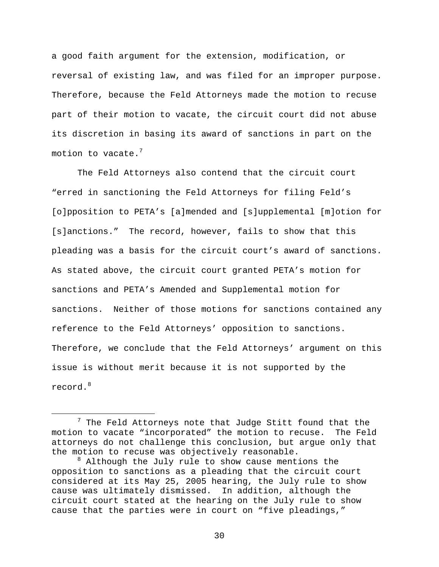a good faith argument for the extension, modification, or reversal of existing law, and was filed for an improper purpose. Therefore, because the Feld Attorneys made the motion to recuse part of their motion to vacate, the circuit court did not abuse its discretion in basing its award of sanctions in part on the motion to vacate.<sup>7</sup>

The Feld Attorneys also contend that the circuit court "erred in sanctioning the Feld Attorneys for filing Feld's [o]pposition to PETA's [a]mended and [s]upplemental [m]otion for [s]anctions." The record, however, fails to show that this pleading was a basis for the circuit court's award of sanctions. As stated above, the circuit court granted PETA's motion for sanctions and PETA's Amended and Supplemental motion for sanctions. Neither of those motions for sanctions contained any reference to the Feld Attorneys' opposition to sanctions. Therefore, we conclude that the Feld Attorneys' argument on this issue is without merit because it is not supported by the record.<sup>8</sup>

 <sup>7</sup>  $7$  The Feld Attorneys note that Judge Stitt found that the motion to vacate "incorporated" the motion to recuse. The Feld attorneys do not challenge this conclusion, but argue only that the motion to recuse was objectively reasonable.

<sup>&</sup>lt;sup>8</sup> Although the July rule to show cause mentions the opposition to sanctions as a pleading that the circuit court considered at its May 25, 2005 hearing, the July rule to show cause was ultimately dismissed. In addition, although the circuit court stated at the hearing on the July rule to show cause that the parties were in court on "five pleadings,"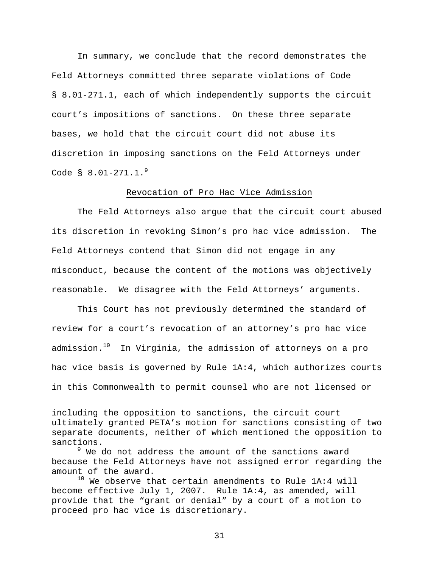In summary, we conclude that the record demonstrates the Feld Attorneys committed three separate violations of Code § 8.01-271.1, each of which independently supports the circuit court's impositions of sanctions. On these three separate bases, we hold that the circuit court did not abuse its discretion in imposing sanctions on the Feld Attorneys under Code  $\frac{8}{9}$  8.01-271.1.<sup>9</sup>

#### Revocation of Pro Hac Vice Admission

 The Feld Attorneys also argue that the circuit court abused its discretion in revoking Simon's pro hac vice admission. The Feld Attorneys contend that Simon did not engage in any misconduct, because the content of the motions was objectively reasonable. We disagree with the Feld Attorneys' arguments.

 This Court has not previously determined the standard of review for a court's revocation of an attorney's pro hac vice admission. $10$  In Virginia, the admission of attorneys on a pro hac vice basis is governed by Rule 1A:4, which authorizes courts in this Commonwealth to permit counsel who are not licensed or

including the opposition to sanctions, the circuit court ultimately granted PETA's motion for sanctions consisting of two separate documents, neither of which mentioned the opposition to sanctions.

i

 $^9$  We do not address the amount of the sanctions award because the Feld Attorneys have not assigned error regarding the amount of the award.

 $10$  We observe that certain amendments to Rule 1A:4 will become effective July 1, 2007. Rule 1A:4, as amended, will provide that the "grant or denial" by a court of a motion to proceed pro hac vice is discretionary.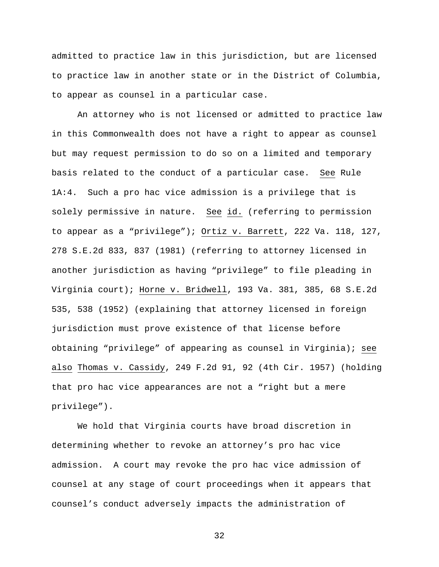admitted to practice law in this jurisdiction, but are licensed to practice law in another state or in the District of Columbia, to appear as counsel in a particular case.

An attorney who is not licensed or admitted to practice law in this Commonwealth does not have a right to appear as counsel but may request permission to do so on a limited and temporary basis related to the conduct of a particular case. See Rule 1A:4. Such a pro hac vice admission is a privilege that is solely permissive in nature. See id. (referring to permission to appear as a "privilege"); Ortiz v. Barrett, 222 Va. 118, 127, 278 S.E.2d 833, 837 (1981) (referring to attorney licensed in another jurisdiction as having "privilege" to file pleading in Virginia court); Horne v. Bridwell, 193 Va. 381, 385, 68 S.E.2d 535, 538 (1952) (explaining that attorney licensed in foreign jurisdiction must prove existence of that license before obtaining "privilege" of appearing as counsel in Virginia); see also Thomas v. Cassidy, 249 F.2d 91, 92 (4th Cir. 1957) (holding that pro hac vice appearances are not a "right but a mere privilege").

We hold that Virginia courts have broad discretion in determining whether to revoke an attorney's pro hac vice admission. A court may revoke the pro hac vice admission of counsel at any stage of court proceedings when it appears that counsel's conduct adversely impacts the administration of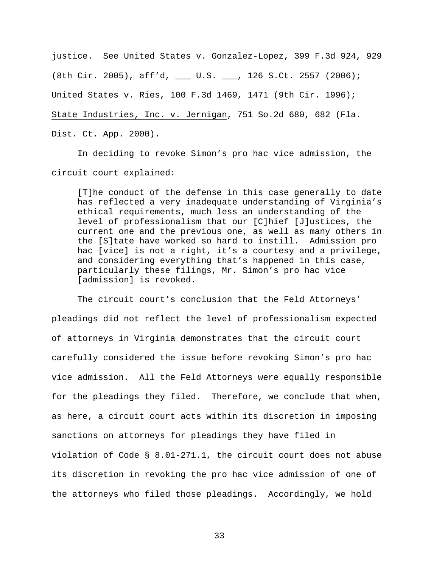justice. See United States v. Gonzalez-Lopez, 399 F.3d 924, 929 (8th Cir. 2005), aff'd, \_\_\_ U.S. \_\_\_, 126 S.Ct. 2557 (2006); United States v. Ries, 100 F.3d 1469, 1471 (9th Cir. 1996); State Industries, Inc. v. Jernigan, 751 So.2d 680, 682 (Fla. Dist. Ct. App. 2000).

In deciding to revoke Simon's pro hac vice admission, the circuit court explained:

[T]he conduct of the defense in this case generally to date has reflected a very inadequate understanding of Virginia's ethical requirements, much less an understanding of the level of professionalism that our [C]hief [J]ustices, the current one and the previous one, as well as many others in the [S]tate have worked so hard to instill. Admission pro hac [vice] is not a right, it's a courtesy and a privilege, and considering everything that's happened in this case, particularly these filings, Mr. Simon's pro hac vice [admission] is revoked.

The circuit court's conclusion that the Feld Attorneys' pleadings did not reflect the level of professionalism expected of attorneys in Virginia demonstrates that the circuit court carefully considered the issue before revoking Simon's pro hac vice admission. All the Feld Attorneys were equally responsible for the pleadings they filed. Therefore, we conclude that when, as here, a circuit court acts within its discretion in imposing sanctions on attorneys for pleadings they have filed in violation of Code § 8.01-271.1, the circuit court does not abuse its discretion in revoking the pro hac vice admission of one of the attorneys who filed those pleadings. Accordingly, we hold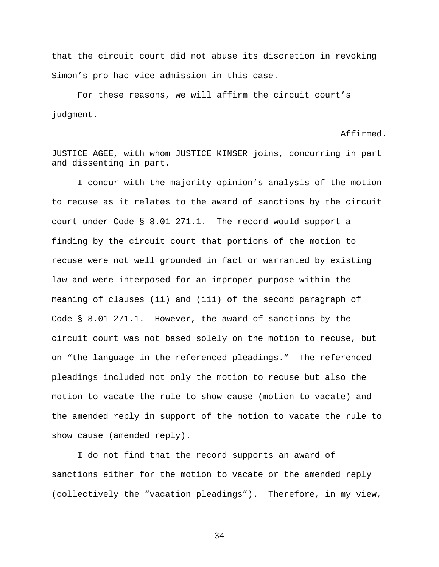that the circuit court did not abuse its discretion in revoking Simon's pro hac vice admission in this case.

For these reasons, we will affirm the circuit court's judgment.

#### Affirmed.

JUSTICE AGEE, with whom JUSTICE KINSER joins, concurring in part and dissenting in part.

I concur with the majority opinion's analysis of the motion to recuse as it relates to the award of sanctions by the circuit court under Code § 8.01-271.1. The record would support a finding by the circuit court that portions of the motion to recuse were not well grounded in fact or warranted by existing law and were interposed for an improper purpose within the meaning of clauses (ii) and (iii) of the second paragraph of Code § 8.01-271.1. However, the award of sanctions by the circuit court was not based solely on the motion to recuse, but on "the language in the referenced pleadings." The referenced pleadings included not only the motion to recuse but also the motion to vacate the rule to show cause (motion to vacate) and the amended reply in support of the motion to vacate the rule to show cause (amended reply).

I do not find that the record supports an award of sanctions either for the motion to vacate or the amended reply (collectively the "vacation pleadings"). Therefore, in my view,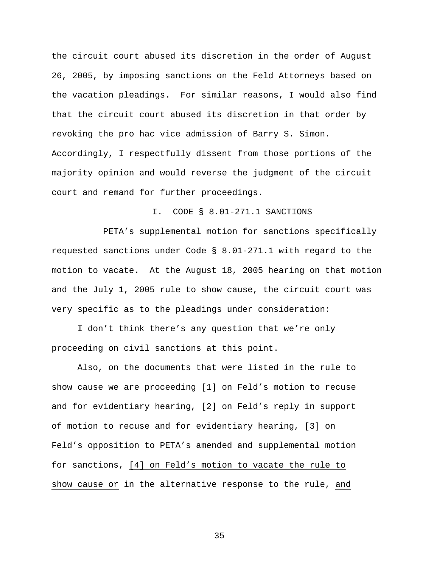the circuit court abused its discretion in the order of August 26, 2005, by imposing sanctions on the Feld Attorneys based on the vacation pleadings. For similar reasons, I would also find that the circuit court abused its discretion in that order by revoking the pro hac vice admission of Barry S. Simon. Accordingly, I respectfully dissent from those portions of the majority opinion and would reverse the judgment of the circuit court and remand for further proceedings.

### I. CODE § 8.01-271.1 SANCTIONS

 PETA's supplemental motion for sanctions specifically requested sanctions under Code § 8.01-271.1 with regard to the motion to vacate. At the August 18, 2005 hearing on that motion and the July 1, 2005 rule to show cause, the circuit court was very specific as to the pleadings under consideration:

I don't think there's any question that we're only proceeding on civil sanctions at this point.

Also, on the documents that were listed in the rule to show cause we are proceeding [1] on Feld's motion to recuse and for evidentiary hearing, [2] on Feld's reply in support of motion to recuse and for evidentiary hearing, [3] on Feld's opposition to PETA's amended and supplemental motion for sanctions, [4] on Feld's motion to vacate the rule to show cause or in the alternative response to the rule, and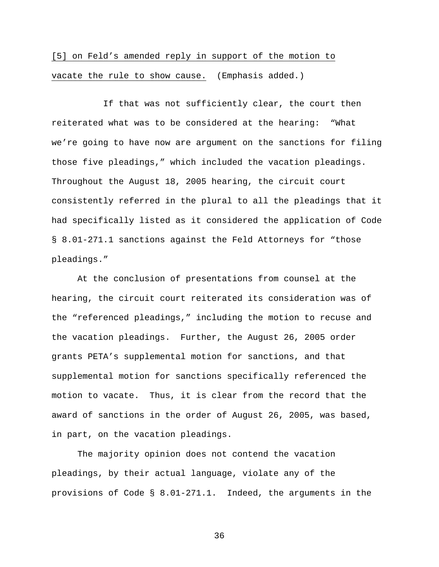# [5] on Feld's amended reply in support of the motion to vacate the rule to show cause. (Emphasis added.)

 If that was not sufficiently clear, the court then reiterated what was to be considered at the hearing: "What we're going to have now are argument on the sanctions for filing those five pleadings," which included the vacation pleadings. Throughout the August 18, 2005 hearing, the circuit court consistently referred in the plural to all the pleadings that it had specifically listed as it considered the application of Code § 8.01-271.1 sanctions against the Feld Attorneys for "those pleadings."

At the conclusion of presentations from counsel at the hearing, the circuit court reiterated its consideration was of the "referenced pleadings," including the motion to recuse and the vacation pleadings. Further, the August 26, 2005 order grants PETA's supplemental motion for sanctions, and that supplemental motion for sanctions specifically referenced the motion to vacate. Thus, it is clear from the record that the award of sanctions in the order of August 26, 2005, was based, in part, on the vacation pleadings.

The majority opinion does not contend the vacation pleadings, by their actual language, violate any of the provisions of Code § 8.01-271.1. Indeed, the arguments in the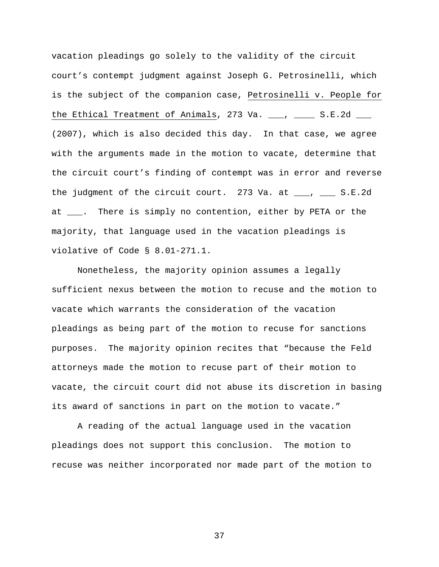vacation pleadings go solely to the validity of the circuit court's contempt judgment against Joseph G. Petrosinelli, which is the subject of the companion case, Petrosinelli v. People for the Ethical Treatment of Animals, 273 Va.  $\frac{1}{\sqrt{2}}$ , S.E.2d  $\frac{1}{\sqrt{2}}$ (2007), which is also decided this day. In that case, we agree with the arguments made in the motion to vacate, determine that the circuit court's finding of contempt was in error and reverse the judgment of the circuit court. 273 Va. at  $\_\_\_\$ ,  $\_\_\_$  S.E.2d at \_\_\_. There is simply no contention, either by PETA or the majority, that language used in the vacation pleadings is violative of Code § 8.01-271.1.

Nonetheless, the majority opinion assumes a legally sufficient nexus between the motion to recuse and the motion to vacate which warrants the consideration of the vacation pleadings as being part of the motion to recuse for sanctions purposes. The majority opinion recites that "because the Feld attorneys made the motion to recuse part of their motion to vacate, the circuit court did not abuse its discretion in basing its award of sanctions in part on the motion to vacate."

A reading of the actual language used in the vacation pleadings does not support this conclusion. The motion to recuse was neither incorporated nor made part of the motion to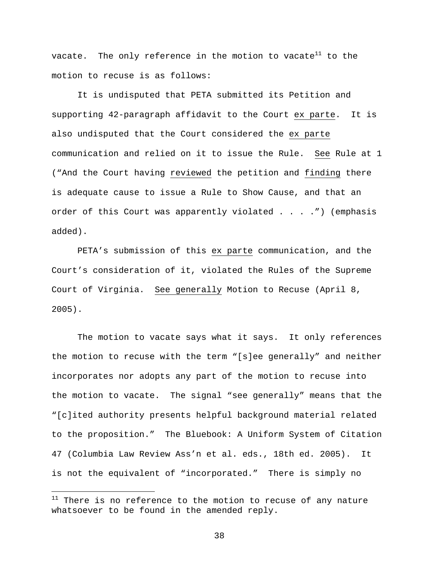vacate. The only reference in the motion to vacate<sup>11</sup> to the motion to recuse is as follows:

It is undisputed that PETA submitted its Petition and supporting 42-paragraph affidavit to the Court ex parte. It is also undisputed that the Court considered the ex parte communication and relied on it to issue the Rule. See Rule at 1 ("And the Court having reviewed the petition and finding there is adequate cause to issue a Rule to Show Cause, and that an order of this Court was apparently violated . . . . ") (emphasis added).

PETA's submission of this ex parte communication, and the Court's consideration of it, violated the Rules of the Supreme Court of Virginia. See generally Motion to Recuse (April 8, 2005).

The motion to vacate says what it says. It only references the motion to recuse with the term "[s]ee generally" and neither incorporates nor adopts any part of the motion to recuse into the motion to vacate. The signal "see generally" means that the "[c]ited authority presents helpful background material related to the proposition." The Bluebook: A Uniform System of Citation 47 (Columbia Law Review Ass'n et al. eds., 18th ed. 2005). It is not the equivalent of "incorporated." There is simply no

i<br>Li

 $11$  There is no reference to the motion to recuse of any nature whatsoever to be found in the amended reply.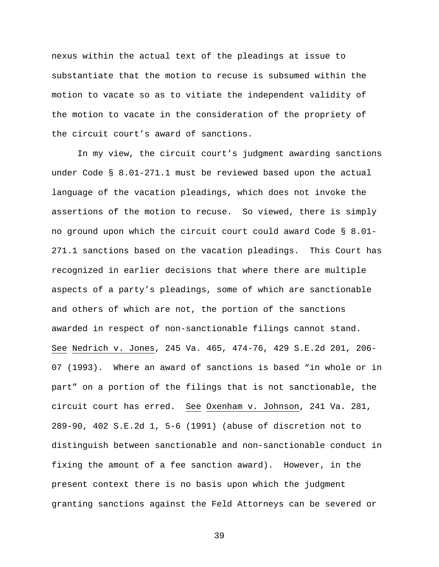nexus within the actual text of the pleadings at issue to substantiate that the motion to recuse is subsumed within the motion to vacate so as to vitiate the independent validity of the motion to vacate in the consideration of the propriety of the circuit court's award of sanctions.

In my view, the circuit court's judgment awarding sanctions under Code § 8.01-271.1 must be reviewed based upon the actual language of the vacation pleadings, which does not invoke the assertions of the motion to recuse. So viewed, there is simply no ground upon which the circuit court could award Code § 8.01- 271.1 sanctions based on the vacation pleadings. This Court has recognized in earlier decisions that where there are multiple aspects of a party's pleadings, some of which are sanctionable and others of which are not, the portion of the sanctions awarded in respect of non-sanctionable filings cannot stand. See Nedrich v. Jones, 245 Va. 465, 474-76, 429 S.E.2d 201, 206- 07 (1993). Where an award of sanctions is based "in whole or in part" on a portion of the filings that is not sanctionable, the circuit court has erred. See Oxenham v. Johnson, 241 Va. 281, 289-90, 402 S.E.2d 1, 5-6 (1991) (abuse of discretion not to distinguish between sanctionable and non-sanctionable conduct in fixing the amount of a fee sanction award). However, in the present context there is no basis upon which the judgment granting sanctions against the Feld Attorneys can be severed or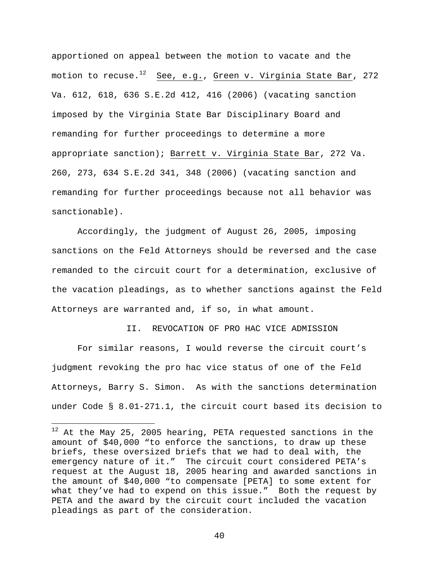apportioned on appeal between the motion to vacate and the motion to recuse.<sup>12</sup> See, e.g., Green v. Virginia State Bar, 272 Va. 612, 618, 636 S.E.2d 412, 416 (2006) (vacating sanction imposed by the Virginia State Bar Disciplinary Board and remanding for further proceedings to determine a more appropriate sanction); Barrett v. Virginia State Bar, 272 Va. 260, 273, 634 S.E.2d 341, 348 (2006) (vacating sanction and remanding for further proceedings because not all behavior was sanctionable).

Accordingly, the judgment of August 26, 2005, imposing sanctions on the Feld Attorneys should be reversed and the case remanded to the circuit court for a determination, exclusive of the vacation pleadings, as to whether sanctions against the Feld Attorneys are warranted and, if so, in what amount.

II. REVOCATION OF PRO HAC VICE ADMISSION

For similar reasons, I would reverse the circuit court's judgment revoking the pro hac vice status of one of the Feld Attorneys, Barry S. Simon. As with the sanctions determination under Code § 8.01-271.1, the circuit court based its decision to

 $\overline{\phantom{0}}$ 

 $12$  At the May 25, 2005 hearing, PETA requested sanctions in the amount of \$40,000 "to enforce the sanctions, to draw up these briefs, these oversized briefs that we had to deal with, the emergency nature of it." The circuit court considered PETA's request at the August 18, 2005 hearing and awarded sanctions in the amount of \$40,000 "to compensate [PETA] to some extent for what they've had to expend on this issue." Both the request by PETA and the award by the circuit court included the vacation pleadings as part of the consideration.